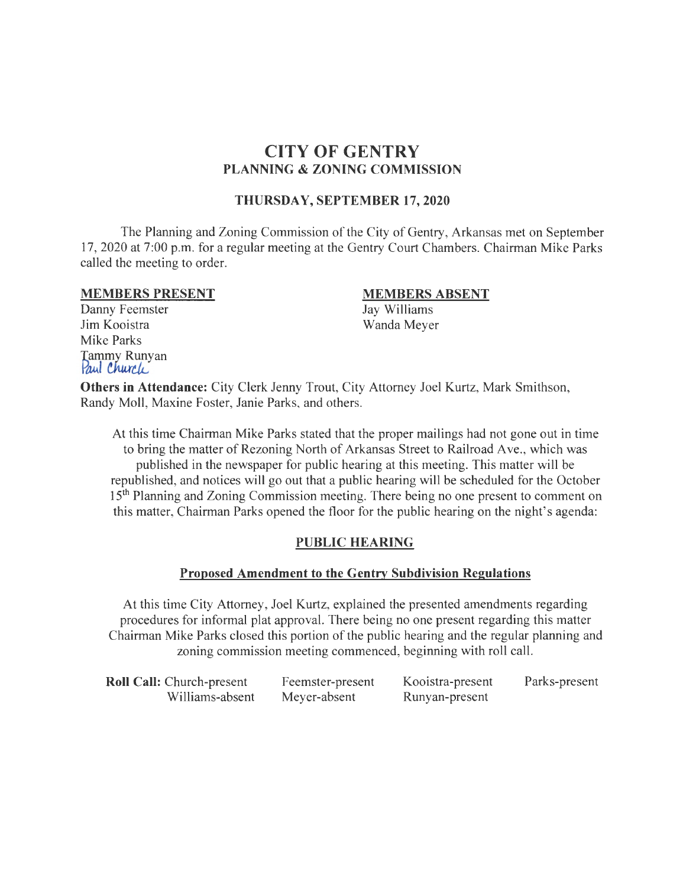# **CITY OF GENTRY PLANNING & ZONING COMMISSION**

## **THURSDAY, SEPTEMBER 17, 2020**

The Planning and Zoning Commission of the City of Gentry, Arkansas met on September 17, 2020 at 7:00 p.m. for a regular meeting at the Gentry Court Chambers. Chairman Mike Parks called the meeting to order.

#### **MEMBERS PRESENT**

Danny Feemster Jim Kooistra Mike Parks Tammy Runyan<br>*Paul Churcle* 

#### **MEMBERS ABSENT**

Jay Williams Wanda Meyer

**Others in Attendance:** City Clerk Jenny Trout, City Attorney Joel Kurtz, Mark Smithson, Randy Moll, Maxine Foster, Janie Parks, and others.

At this time Chairman Mike Parks stated that the proper mailings had not gone out in time to bring the matter of Rezoning North of Arkansas Street to Railroad Ave., which was published in the newspaper for public hearing at this meeting. This matter will be republished, and notices will go out that a public hearing will be scheduled for the October 15<sup>th</sup> Planning and Zoning Commission meeting. There being no one present to comment on this matter, Chairman Parks opened the floor for the public hearing on the night's agenda:

# **PUBLIC HEARING**

#### **Proposed Amendment to the Gentry Subdivision Regulations**

At this time City Attorney, Joel Kurtz, explained the presented amendments regarding procedures for informal plat approval. There being no one present regarding this matter Chairman Mike Parks closed this portion of the public hearing and the regular planning and zoning commission meeting commenced, beginning with roll call.

| <b>Roll Call: Church-present</b> | Feemster-present | Kooistra-present | Parks-present |
|----------------------------------|------------------|------------------|---------------|
| Williams-absent                  | Meyer-absent     | Runyan-present   |               |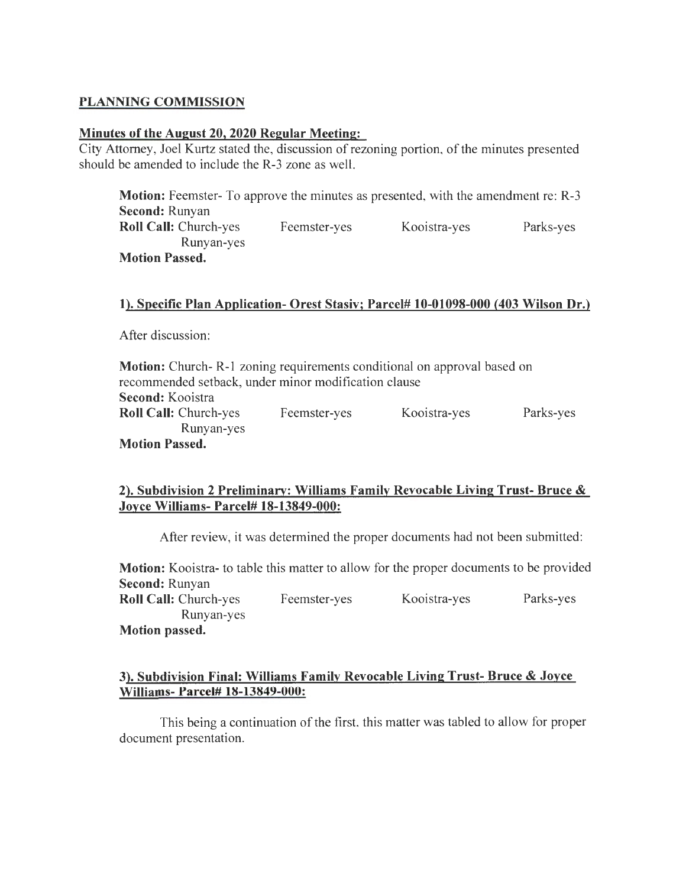## **PLANNING COMMISSION**

#### **Minutes of the August 20, 2020 Regular Meeting:**

City Attorney, Joel Kurtz stated the, discussion of rezoning portion, of the minutes presented should be amended to include the R-3 zone as well.

**Motion:** Feemster- To approve the minutes as presented, with the amendment re: R-3 **Second:** Runyan **Roll Call:** Church-yes Feemster-yes Kooistra-yes Parks-yes Runyan-yes **Motion Passed.** 

#### **1). Specific Plan Application- Orest Stasiv; Parcel# 10-01098-000 (403 Wilson Dr.)**

After discussion:

| <b>Motion:</b> Church-R-1 zoning requirements conditional on approval based on |              |              |           |
|--------------------------------------------------------------------------------|--------------|--------------|-----------|
| recommended setback, under minor modification clause                           |              |              |           |
| Second: Kooistra                                                               |              |              |           |
| <b>Roll Call: Church-yes</b>                                                   | Feemster-yes | Kooistra-yes | Parks-yes |
| Runyan-yes                                                                     |              |              |           |
| <b>Motion Passed.</b>                                                          |              |              |           |

# **2). Subdivision 2 Preliminary: Williams Family Revocable Living Trust- Bruce** & **Joyce Williams- Parcel# 18-13849-000:**

After review, it was determined the proper documents had not been submitted:

**Motion:** Kooistra- to table this matter to allow for the proper documents to be provided **Second:** Runyan **Roll Call:** Church-yes Feemster-yes Kooistra-yes Parks-yes Runyan-yes **Motion passed.** 

## **3). Subdivision Final: Williams Family Revocable Living Trust- Bruce & Joyce Williams- Parcel# 18-13849-000:**

This being a continuation of the first, this matter was tabled to allow for proper document presentation.